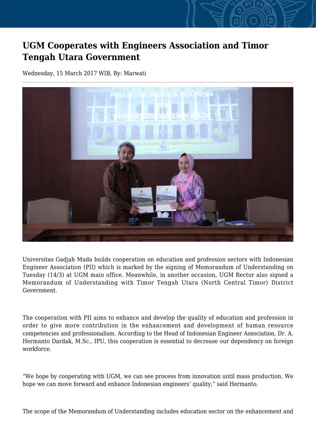## **UGM Cooperates with Engineers Association and Timor Tengah Utara Government**

Wednesday, 15 March 2017 WIB, By: Marwati



Universitas Gadjah Mada builds cooperation on education and profession sectors with Indonesian Engineer Association (PII) which is marked by the signing of Memorandum of Understanding on Tuesday (14/3) at UGM main office. Meanwhile, in another occasion, UGM Rector also signed a Memorandum of Understanding with Timor Tengah Utara (North Central Timor) District Government.

The cooperation with PII aims to enhance and develop the quality of education and profession in order to give more contribution in the enhancement and development of human resource competencies and professionalism. According to the Head of Indonesian Engineer Association, Dr. A. Hermanto Dardak, M.Sc., IPU, this cooperation is essential to decrease our dependency on foreign workforce.

"We hope by cooperating with UGM, we can see process from innovation until mass production. We hope we can move forward and enhance Indonesian engineers' quality," said Hermanto.

The scope of the Memorandum of Understanding includes education sector on the enhancement and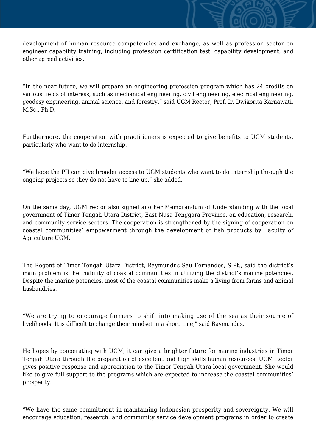development of human resource competencies and exchange, as well as profession sector on engineer capability training, including profession certification test, capability development, and other agreed activities.

"In the near future, we will prepare an engineering profession program which has 24 credits on various fields of interess, such as mechanical engineering, civil engineering, electrical engineering, geodesy engineering, animal science, and forestry," said UGM Rector, Prof. Ir. Dwikorita Karnawati, M.Sc., Ph.D.

Furthermore, the cooperation with practitioners is expected to give benefits to UGM students, particularly who want to do internship.

"We hope the PII can give broader access to UGM students who want to do internship through the ongoing projects so they do not have to line up," she added.

On the same day, UGM rector also signed another Memorandum of Understanding with the local government of Timor Tengah Utara District, East Nusa Tenggara Province, on education, research, and community service sectors. The cooperation is strengthened by the signing of cooperation on coastal communities' empowerment through the development of fish products by Faculty of Agriculture UGM.

The Regent of Timor Tengah Utara District, Raymundus Sau Fernandes, S.Pt., said the district's main problem is the inability of coastal communities in utilizing the district's marine potencies. Despite the marine potencies, most of the coastal communities make a living from farms and animal husbandries.

"We are trying to encourage farmers to shift into making use of the sea as their source of livelihoods. It is difficult to change their mindset in a short time," said Raymundus.

He hopes by cooperating with UGM, it can give a brighter future for marine industries in Timor Tengah Utara through the preparation of excellent and high skills human resources. UGM Rector gives positive response and appreciation to the Timor Tengah Utara local government. She would like to give full support to the programs which are expected to increase the coastal communities' prosperity.

"We have the same commitment in maintaining Indonesian prosperity and sovereignty. We will encourage education, research, and community service development programs in order to create